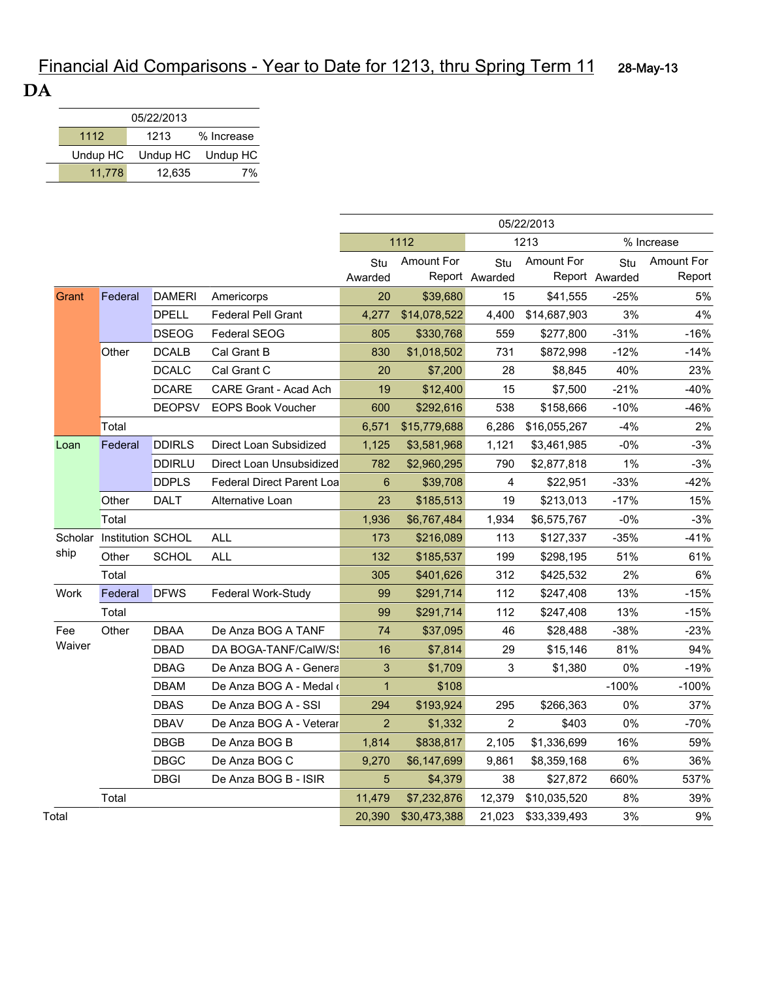DA

| 05/22/2013 |          |            |  |  |  |  |  |
|------------|----------|------------|--|--|--|--|--|
| 1112       | 1213     | % Increase |  |  |  |  |  |
| Undup HC   | Undup HC | Undup HC   |  |  |  |  |  |
| 11,778     | 12.635   | 7%         |  |  |  |  |  |

|         |                          |               |                                  | 05/22/2013     |              |                |              |                |            |
|---------|--------------------------|---------------|----------------------------------|----------------|--------------|----------------|--------------|----------------|------------|
|         |                          |               |                                  |                | 1112         |                | 1213         | % Increase     |            |
|         |                          |               |                                  | Stu            | Amount For   | Stu            | Amount For   | Stu            | Amount For |
|         |                          |               |                                  | Awarded        |              | Report Awarded |              | Report Awarded | Report     |
| Grant   | Federal                  | <b>DAMERI</b> | Americorps                       | 20             | \$39,680     | 15             | \$41,555     | $-25%$         | 5%         |
|         |                          | <b>DPELL</b>  | <b>Federal Pell Grant</b>        | 4,277          | \$14,078,522 | 4,400          | \$14,687,903 | 3%             | 4%         |
|         |                          | <b>DSEOG</b>  | <b>Federal SEOG</b>              | 805            | \$330,768    | 559            | \$277,800    | $-31%$         | $-16%$     |
|         | Other                    | <b>DCALB</b>  | Cal Grant B                      | 830            | \$1,018,502  | 731            | \$872,998    | $-12%$         | $-14%$     |
|         |                          | <b>DCALC</b>  | Cal Grant C                      | 20             | \$7,200      | 28             | \$8,845      | 40%            | 23%        |
|         |                          | <b>DCARE</b>  | CARE Grant - Acad Ach            | 19             | \$12,400     | 15             | \$7,500      | $-21%$         | $-40%$     |
|         |                          | <b>DEOPSV</b> | <b>EOPS Book Voucher</b>         | 600            | \$292,616    | 538            | \$158,666    | $-10%$         | $-46%$     |
|         | Total                    |               |                                  | 6,571          | \$15,779,688 | 6,286          | \$16,055,267 | $-4%$          | 2%         |
| Loan    | Federal                  | <b>DDIRLS</b> | Direct Loan Subsidized           | 1,125          | \$3,581,968  | 1,121          | \$3,461,985  | $-0%$          | $-3%$      |
|         |                          | <b>DDIRLU</b> | Direct Loan Unsubsidized         | 782            | \$2,960,295  | 790            | \$2,877,818  | 1%             | $-3%$      |
|         |                          | <b>DDPLS</b>  | <b>Federal Direct Parent Loa</b> | $6\phantom{1}$ | \$39,708     | $\overline{4}$ | \$22,951     | $-33%$         | $-42%$     |
|         | Other                    | <b>DALT</b>   | Alternative Loan                 | 23             | \$185,513    | 19             | \$213,013    | $-17%$         | 15%        |
|         | Total                    |               |                                  | 1,936          | \$6,767,484  | 1,934          | \$6,575,767  | $-0%$          | $-3%$      |
| Scholar | <b>Institution SCHOL</b> |               | <b>ALL</b>                       | 173            | \$216,089    | 113            | \$127,337    | $-35%$         | $-41%$     |
| ship    | Other                    | <b>SCHOL</b>  | <b>ALL</b>                       | 132            | \$185,537    | 199            | \$298,195    | 51%            | 61%        |
|         | Total                    |               |                                  | 305            | \$401,626    | 312            | \$425,532    | 2%             | 6%         |
| Work    | Federal                  | <b>DFWS</b>   | Federal Work-Study               | 99             | \$291,714    | 112            | \$247,408    | 13%            | $-15%$     |
|         | Total                    |               |                                  | 99             | \$291,714    | 112            | \$247,408    | 13%            | $-15%$     |
| Fee     | Other                    | <b>DBAA</b>   | De Anza BOG A TANF               | 74             | \$37,095     | 46             | \$28,488     | $-38%$         | $-23%$     |
| Waiver  |                          | <b>DBAD</b>   | DA BOGA-TANF/CalW/S!             | 16             | \$7,814      | 29             | \$15,146     | 81%            | 94%        |
|         |                          | <b>DBAG</b>   | De Anza BOG A - Genera           | 3              | \$1,709      | $\mathbf{3}$   | \$1,380      | $0\%$          | $-19%$     |
|         |                          | <b>DBAM</b>   | De Anza BOG A - Medal o          | $\mathbf{1}$   | \$108        |                |              | $-100%$        | $-100%$    |
|         |                          | <b>DBAS</b>   | De Anza BOG A - SSI              | 294            | \$193,924    | 295            | \$266,363    | 0%             | 37%        |
|         |                          | <b>DBAV</b>   | De Anza BOG A - Veterar          | $\overline{2}$ | \$1,332      | $\overline{c}$ | \$403        | 0%             | $-70%$     |
|         |                          | <b>DBGB</b>   | De Anza BOG B                    | 1,814          | \$838,817    | 2,105          | \$1,336,699  | 16%            | 59%        |
|         |                          | <b>DBGC</b>   | De Anza BOG C                    | 9,270          | \$6,147,699  | 9,861          | \$8,359,168  | 6%             | 36%        |
|         |                          | <b>DBGI</b>   | De Anza BOG B - ISIR             | $\overline{5}$ | \$4,379      | 38             | \$27,872     | 660%           | 537%       |
|         | Total                    |               |                                  | 11,479         | \$7,232,876  | 12,379         | \$10,035,520 | 8%             | 39%        |
| Total   |                          |               |                                  | 20,390         | \$30,473,388 | 21,023         | \$33,339,493 | 3%             | 9%         |